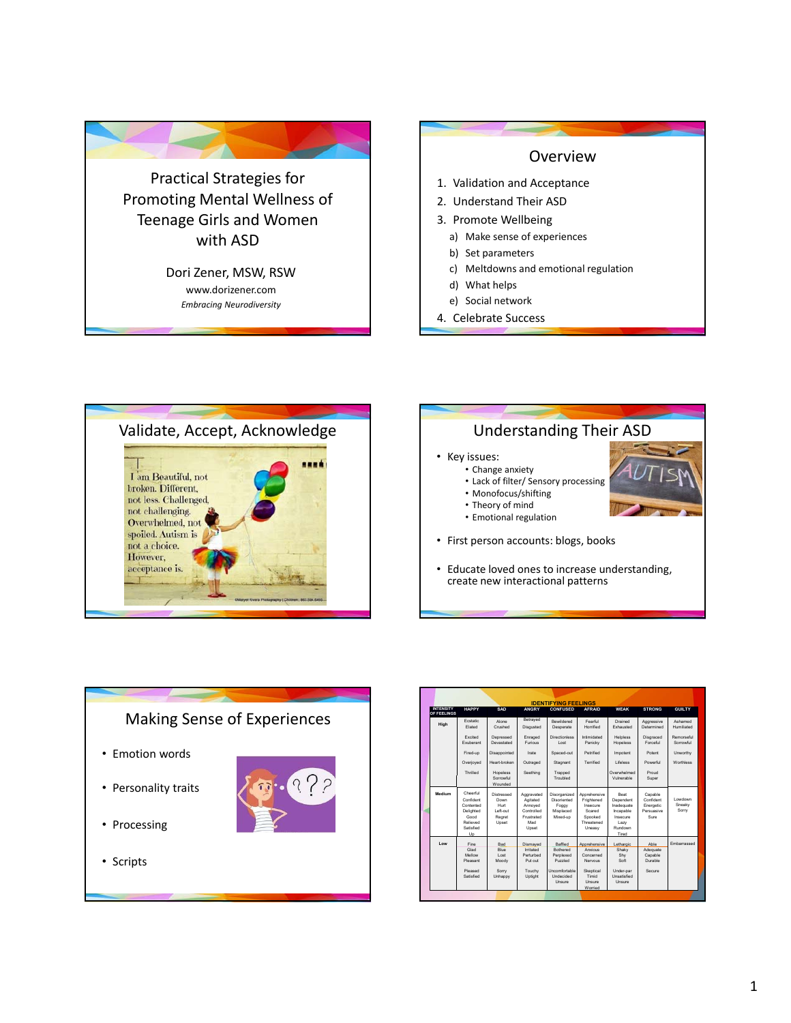



4. Celebrate Success



## • Key issues: • Change anxiety • Lack of filter/ Sensory processing • Monofocus/shifting • Theory of mind • Emotional regulation • First person accounts: blogs, books • Educate loved ones to increase understanding, create new interactional patterns Understanding Their ASD



|                                  |                                                                                        |                                                                  | <b>IDENTIFYING FEELINGS</b>                                                   |                                                               |                                                                                     |                                                                                      |                                                         |                             |
|----------------------------------|----------------------------------------------------------------------------------------|------------------------------------------------------------------|-------------------------------------------------------------------------------|---------------------------------------------------------------|-------------------------------------------------------------------------------------|--------------------------------------------------------------------------------------|---------------------------------------------------------|-----------------------------|
| <b>INTENSITY</b><br>OF FFFI INGS | <b>HAPPY</b>                                                                           | SAD                                                              | <b>ANGRY</b>                                                                  | <b>CONFUSED</b>                                               | <b>AFRAID</b>                                                                       | <b>WEAK</b>                                                                          | <b>STRONG</b>                                           | <b>GUILTY</b>               |
| High                             | <b>Ecstatic</b><br>Flated                                                              | Alone<br>Crushed                                                 | Betrayed<br>Disgusted                                                         | Rewildered<br>Desperate                                       | Fearful<br>Horrified                                                                | Drained<br><b>Fxhausted</b>                                                          | Aggressive<br>Determined                                | Ashamed<br>Humiliated       |
|                                  | Excited<br><b>Fxuberant</b>                                                            | Depressed<br>Devastated                                          | Enraged<br><b>Furious</b>                                                     | Directionless<br>Lost                                         | Intimidated<br>Panicky                                                              | Helpless<br>Hopeless                                                                 | Disgraced<br>Forceful                                   | Remorseful<br>Sorrowful     |
|                                  | Fired-up                                                                               | Disappointed                                                     | Irate                                                                         | Spaced-out                                                    | Petrified                                                                           | Impotent                                                                             | Potent                                                  | Unworthy                    |
|                                  | Overloved                                                                              | Heart-broken                                                     | Outraged                                                                      | Stagnant                                                      | Terrified                                                                           | <b>Lifeless</b>                                                                      | Powerful                                                | Worthless                   |
|                                  | Thrilled                                                                               | Hopeless<br>Sorrowful<br>Wounded                                 | Seething                                                                      | Trapped<br>Troubled                                           |                                                                                     | Overwhelmed<br>Vulnerable                                                            | Proud<br>Super                                          |                             |
| Medium                           | Cheerful<br>Confident<br>Contented<br>Delighted<br>Good<br>Relieved<br>Satisfied<br>Up | Distressed<br>Down<br><b>Hurt</b><br>Left-out<br>Regret<br>Upset | Aggravated<br>Agitated<br>Annoved<br>Controlled<br>Frustrated<br>Mad<br>Upset | Disorganized<br>Disoriented<br>Foggy<br>Misplaced<br>Mixed-up | Apprehensive<br>Frightened<br>Insecure<br>Scared<br>Spooked<br>Threatened<br>Uneasy | Reat<br>Dependent<br>Inadequate<br>Incapable<br>Insecure<br>Lazy<br>Rundown<br>Tired | Capable<br>Confident<br>Energetic<br>Persuasive<br>Sure | I owdown<br>Sneakv<br>Sorry |
| Low                              | Fine<br>Glad<br>Mellow<br>Pleasant                                                     | Rad<br><b>Rlue</b><br>Lost<br>Moody                              | Dismayed<br>Irritated<br>Perturbed<br>Put out                                 | Raffled<br>Rothered<br>Perplexed<br>Puzzled                   | Apprehensive<br>Aminus<br>Concerned<br>Nervous                                      | Lethargic<br>Shaky<br>Shy<br>Soft                                                    | Ahle<br>Adequate<br>Capable<br>Durable                  | Embarrassed                 |
|                                  | Pleased<br>Satisfied                                                                   | Sorry<br>Unhappy                                                 | Touchy<br>Uptight                                                             | <b>Uncomfortable</b><br>Indecided<br>Unsure                   | Skeptical<br>Timid<br>Unsure<br>Worried                                             | Under-par<br>Unsatisfied<br>Unsure                                                   | Secure                                                  |                             |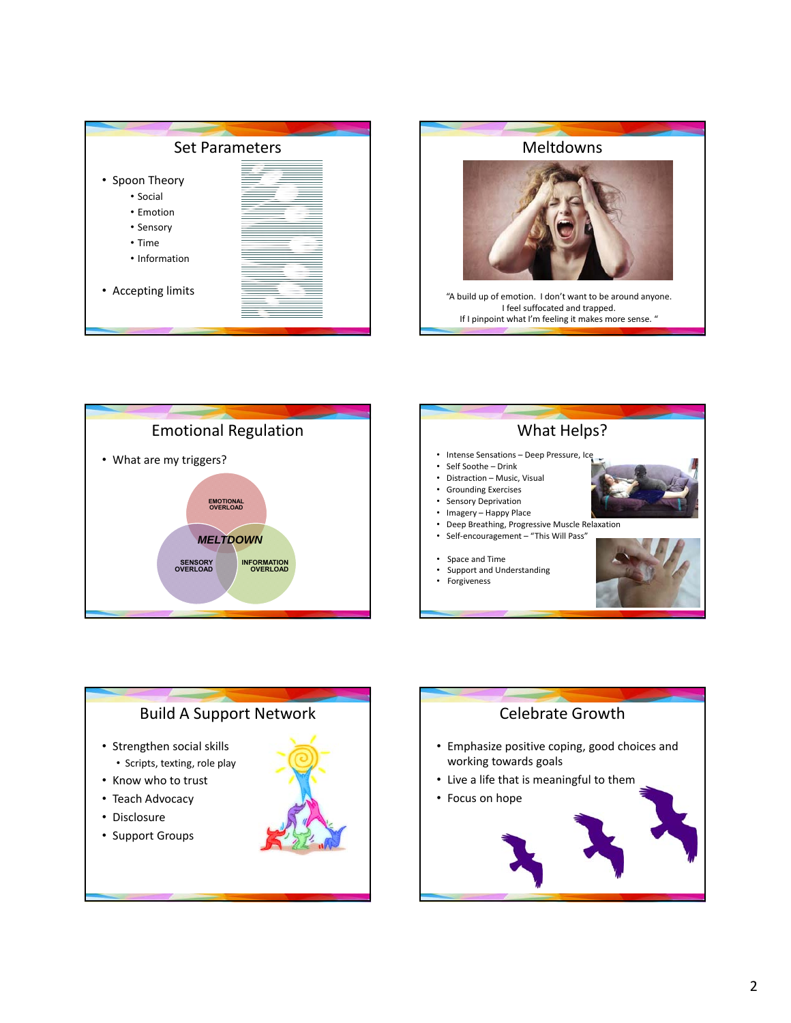



"A build up of emotion. I don't want to be around anyone. I feel suffocated and trapped. If I pinpoint what I'm feeling it makes more sense. "